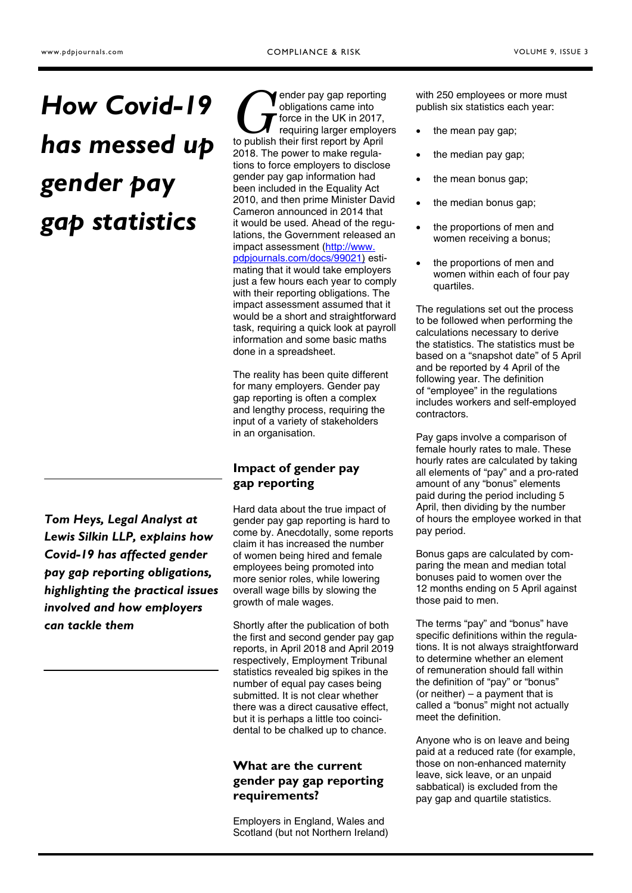# *How Covid-19 has messed up gender pay gap statistics*

*Tom Heys, Legal Analyst at Lewis Silkin LLP, explains how Covid-19 has affected gender pay gap reporting obligations, highlighting the practical issues involved and how employers can tackle them* 

ender pay gap reporting obligations came into force in the UK in 2017, requiring larger employers to publish their first report by April 2018. The power to make regulations to force employers to disclose gender pay gap information had been included in the Equality Act 2010, and then prime Minister David Cameron announced in 2014 that it would be used. Ahead of the regulations, the Government released an [impact assessment \(http://www.](http://www.pdpjournals.com/docs/99021)  pdpjournals.com/docs/99021) estimating that it would take employers just a few hours each year to comply with their reporting obligations. The impact assessment assumed that it would be a short and straightforward task, requiring a quick look at payroll information and some basic maths done in a spreadsheet.

The reality has been quite different for many employers. Gender pay gap reporting is often a complex and lengthy process, requiring the input of a variety of stakeholders in an organisation.

# **Impact of gender pay gap reporting**

Hard data about the true impact of gender pay gap reporting is hard to come by. Anecdotally, some reports claim it has increased the number of women being hired and female employees being promoted into more senior roles, while lowering overall wage bills by slowing the growth of male wages.

Shortly after the publication of both the first and second gender pay gap reports, in April 2018 and April 2019 respectively, Employment Tribunal statistics revealed big spikes in the number of equal pay cases being submitted. It is not clear whether there was a direct causative effect, but it is perhaps a little too coincidental to be chalked up to chance.

# **What are the current gender pay gap reporting requirements?**

Employers in England, Wales and Scotland (but not Northern Ireland) with 250 employees or more must publish six statistics each year:

- the mean pay gap;
- the median pay gap;
- the mean bonus gap;
- the median bonus gap;
- the proportions of men and women receiving a bonus;
- the proportions of men and women within each of four pay quartiles.

The regulations set out the process to be followed when performing the calculations necessary to derive the statistics. The statistics must be based on a "snapshot date" of 5 April and be reported by 4 April of the following year. The definition of "employee" in the regulations includes workers and self-employed contractors.

Pay gaps involve a comparison of female hourly rates to male. These hourly rates are calculated by taking all elements of "pay" and a pro-rated amount of any "bonus" elements paid during the period including 5 April, then dividing by the number of hours the employee worked in that pay period.

Bonus gaps are calculated by comparing the mean and median total bonuses paid to women over the 12 months ending on 5 April against those paid to men.

The terms "pay" and "bonus" have specific definitions within the regulations. It is not always straightforward to determine whether an element of remuneration should fall within the definition of "pay" or "bonus" (or neither) – a payment that is called a "bonus" might not actually meet the definition.

Anyone who is on leave and being paid at a reduced rate (for example, those on non-enhanced maternity leave, sick leave, or an unpaid sabbatical) is excluded from the pay gap and quartile statistics.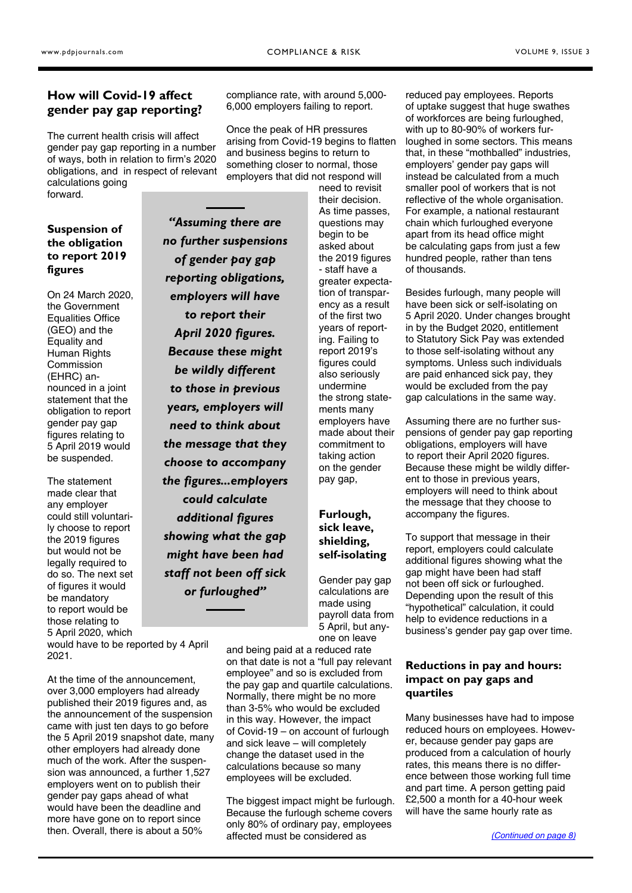# <span id="page-1-0"></span>**How will Covid-19 affect gender pay gap reporting?**

The current health crisis will affect gender pay gap reporting in a number of ways, both in relation to firm's 2020 obligations, and in respect of relevant calculations going

forward.

## **Suspension of the obligation to report 2019 figures**

On 24 March 2020, the Government Equalities Office (GEO) and the Equality and Human Rights **Commission** (EHRC) announced in a joint statement that the obligation to report gender pay gap figures relating to 5 April 2019 would be suspended.

The statement made clear that any employer could still voluntarily choose to report the 2019 figures but would not be legally required to do so. The next set of figures it would be mandatory to report would be those relating to 5 April 2020, which

*"Assuming there are no further suspensions of gender pay gap reporting obligations, employers will have to report their April 2020 figures. Because these might be wildly different to those in previous years, employers will need to think about the message that they choose to accompany the figures...employers could calculate additional figures showing what the gap might have been had staff not been off sick or furloughed"* 

would have to be reported by 4 April 2021.

At the time of the announcement, over 3,000 employers had already published their 2019 figures and, as the announcement of the suspension came with just ten days to go before the 5 April 2019 snapshot date, many other employers had already done much of the work. After the suspension was announced, a further 1,527 employers went on to publish their gender pay gaps ahead of what would have been the deadline and more have gone on to report since then. Overall, there is about a 50%

compliance rate, with around 5,000- 6,000 employers failing to report.

Once the peak of HR pressures arising from Covid-19 begins to flatten and business begins to return to something closer to normal, those employers that did not respond will

> their decision. As time passes, questions may begin to be asked about the 2019 figures - staff have a greater expectation of transparency as a result of the first two years of reporting. Failing to report 2019's figures could also seriously undermine the strong statements many employers have made about their commitment to taking action on the gender pay gap,

need to revisit

# **Furlough, sick leave, shielding, self-isolating**

Gender pay gap calculations are made using payroll data from 5 April, but anyone on leave

and being paid at a reduced rate on that date is not a "full pay relevant employee" and so is excluded from the pay gap and quartile calculations. Normally, there might be no more than 3-5% who would be excluded in this way. However, the impact of Covid-19 – on account of furlough and sick leave – will completely change the dataset used in the calculations because so many employees will be excluded.

The biggest impact might be furlough. Because the furlough scheme covers only 80% of ordinary pay, employees affected must be considered as

reduced pay employees. Reports of uptake suggest that huge swathes of workforces are being furloughed, with up to 80-90% of workers furloughed in some sectors. This means that, in these "mothballed" industries, employers' gender pay gaps will instead be calculated from a much smaller pool of workers that is not reflective of the whole organisation. For example, a national restaurant chain which furloughed everyone apart from its head office might be calculating gaps from just a few hundred people, rather than tens of thousands.

Besides furlough, many people will have been sick or self-isolating on 5 April 2020. Under changes brought in by the Budget 2020, entitlement to Statutory Sick Pay was extended to those self-isolating without any symptoms. Unless such individuals are paid enhanced sick pay, they would be excluded from the pay gap calculations in the same way.

Assuming there are no further suspensions of gender pay gap reporting obligations, employers will have to report their April 2020 figures. Because these might be wildly different to those in previous years, employers will need to think about the message that they choose to accompany the figures.

To support that message in their report, employers could calculate additional figures showing what the gap might have been had staff not been off sick or furloughed. Depending upon the result of this "hypothetical" calculation, it could help to evidence reductions in a business's gender pay gap over time.

## **Reductions in pay and hours: impact on pay gaps and quartiles**

Many businesses have had to impose reduced hours on employees. However, because gender pay gaps are produced from a calculation of hourly rates, this means there is no difference between those working full time and part time. A person getting paid £2,500 a month for a 40-hour week will have the same hourly rate as

*[\(Continued on page 8\)](#page-2-0)*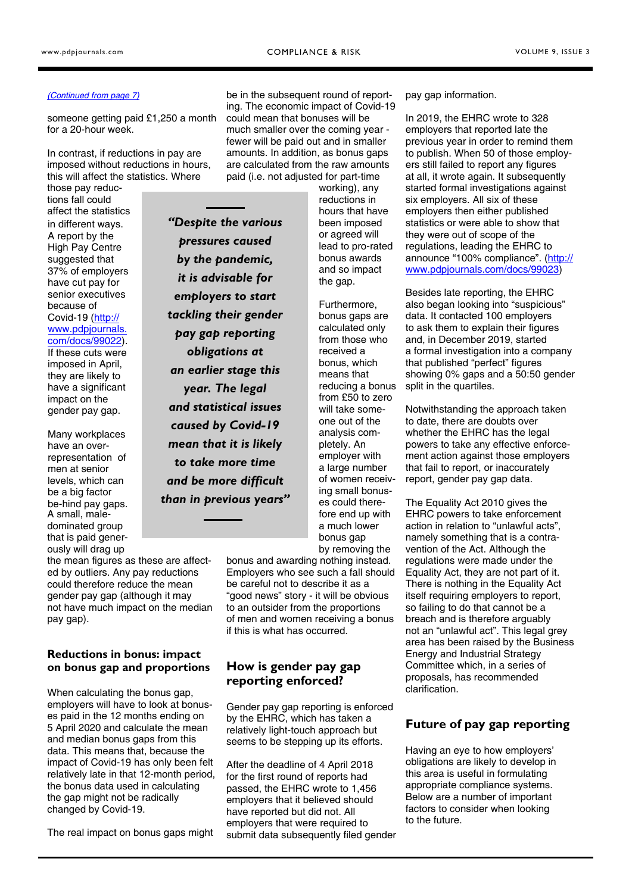#### <span id="page-2-0"></span>*[\(Continued from page 7\)](#page-1-0)*

someone getting paid £1,250 a month for a 20-hour week.

In contrast, if reductions in pay are imposed without reductions in hours, this will affect the statistics. Where

those pay reductions fall could affect the statistics in different ways. A report by the High Pay Centre suggested that 37% of employers have cut pay for senior executives because of Covid-19 (http:// www.pdpjournals. [com/docs/99022\).](http://www.pdpjournals.com/docs/99022) If these cuts were imposed in April, they are likely to have a significant impact on the gender pay gap.

Many workplaces have an overrepresentation of men at senior levels, which can be a big factor be-hind pay gaps. A small, maledominated group that is paid generously will drag up

the mean figures as these are affected by outliers. Any pay reductions could therefore reduce the mean gender pay gap (although it may not have much impact on the median pay gap).

### **Reductions in bonus: impact on bonus gap and proportions**

When calculating the bonus gap, employers will have to look at bonuses paid in the 12 months ending on 5 April 2020 and calculate the mean and median bonus gaps from this data. This means that, because the impact of Covid-19 has only been felt relatively late in that 12-month period, the bonus data used in calculating the gap might not be radically changed by Covid-19.

The real impact on bonus gaps might

be in the subsequent round of reporting. The economic impact of Covid-19 could mean that bonuses will be much smaller over the coming year fewer will be paid out and in smaller amounts. In addition, as bonus gaps are calculated from the raw amounts paid (i.e. not adjusted for part-time

*"Despite the various pressures caused by the pandemic, it is advisable for employers to start tackling their gender pay gap reporting obligations at an earlier stage this year. The legal and statistical issues caused by Covid-19 mean that it is likely to take more time and be more difficult than in previous years"*  working), any reductions in hours that have been imposed or agreed will lead to pro-rated bonus awards and so impact the gap.

Furthermore, bonus gaps are calculated only from those who received a bonus, which means that reducing a bonus from £50 to zero will take someone out of the analysis completely. An employer with a large number of women receiving small bonuses could therefore end up with a much lower bonus gap by removing the

bonus and awarding nothing instead. Employers who see such a fall should be careful not to describe it as a "good news" story - it will be obvious to an outsider from the proportions of men and women receiving a bonus if this is what has occurred.

# **How is gender pay gap reporting enforced?**

Gender pay gap reporting is enforced by the EHRC, which has taken a relatively light-touch approach but seems to be stepping up its efforts.

After the deadline of 4 April 2018 for the first round of reports had passed, the EHRC wrote to 1,456 employers that it believed should have reported but did not. All employers that were required to submit data subsequently filed gender pay gap information.

In 2019, the EHRC wrote to 328 employers that reported late the previous year in order to remind them to publish. When 50 of those employers still failed to report any figures at all, it wrote again. It subsequently started formal investigations against six employers. All six of these employers then either published statistics or were able to show that they were out of scope of the regulations, leading the EHRC to [announce "100% compliance". \(http://](http://www.pdpjournals.com/docs/99023) www.pdpjournals.com/docs/99023)

Besides late reporting, the EHRC also began looking into "suspicious" data. It contacted 100 employers to ask them to explain their figures and, in December 2019, started a formal investigation into a company that published "perfect" figures showing 0% gaps and a 50:50 gender split in the quartiles.

Notwithstanding the approach taken to date, there are doubts over whether the EHRC has the legal powers to take any effective enforcement action against those employers that fail to report, or inaccurately report, gender pay gap data.

The Equality Act 2010 gives the EHRC powers to take enforcement action in relation to "unlawful acts", namely something that is a contravention of the Act. Although the regulations were made under the Equality Act, they are not part of it. There is nothing in the Equality Act itself requiring employers to report, so failing to do that cannot be a breach and is therefore arguably not an "unlawful act". This legal grey area has been raised by the Business Energy and Industrial Strategy Committee which, in a series of proposals, has recommended clarification.

## **Future of pay gap reporting**

Having an eye to how employers' obligations are likely to develop in this area is useful in formulating appropriate compliance systems. Below are a number of important factors to consider when looking to the future.